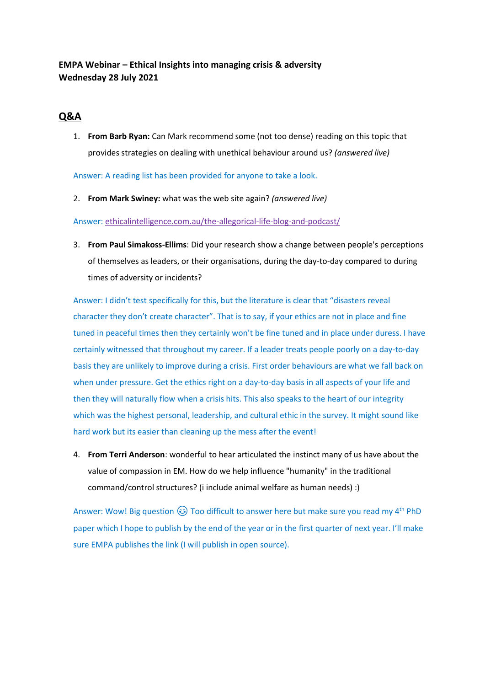## **EMPA Webinar – Ethical Insights into managing crisis & adversity Wednesday 28 July 2021**

## **Q&A**

1. **From Barb Ryan:** Can Mark recommend some (not too dense) reading on this topic that provides strategies on dealing with unethical behaviour around us? *(answered live)*

Answer: A reading list has been provided for anyone to take a look.

2. **From Mark Swiney:** what was the web site again? *(answered live)*

Answer: ethicalintelligence.com.au/the-allegorical-life-blog-and-podcast/

3. **From Paul Simakoss-Ellims**: Did your research show a change between people's perceptions of themselves as leaders, or their organisations, during the day-to-day compared to during times of adversity or incidents?

Answer: I didn't test specifically for this, but the literature is clear that "disasters reveal character they don't create character". That is to say, if your ethics are not in place and fine tuned in peaceful times then they certainly won't be fine tuned and in place under duress. I have certainly witnessed that throughout my career. If a leader treats people poorly on a day-to-day basis they are unlikely to improve during a crisis. First order behaviours are what we fall back on when under pressure. Get the ethics right on a day-to-day basis in all aspects of your life and then they will naturally flow when a crisis hits. This also speaks to the heart of our integrity which was the highest personal, leadership, and cultural ethic in the survey. It might sound like hard work but its easier than cleaning up the mess after the event!

4. **From Terri Anderson**: wonderful to hear articulated the instinct many of us have about the value of compassion in EM. How do we help influence "humanity" in the traditional command/control structures? (i include animal welfare as human needs) :)

Answer: Wow! Big question  $\circledast$  Too difficult to answer here but make sure you read my 4<sup>th</sup> PhD paper which I hope to publish by the end of the year or in the first quarter of next year. I'll make sure EMPA publishes the link (I will publish in open source).